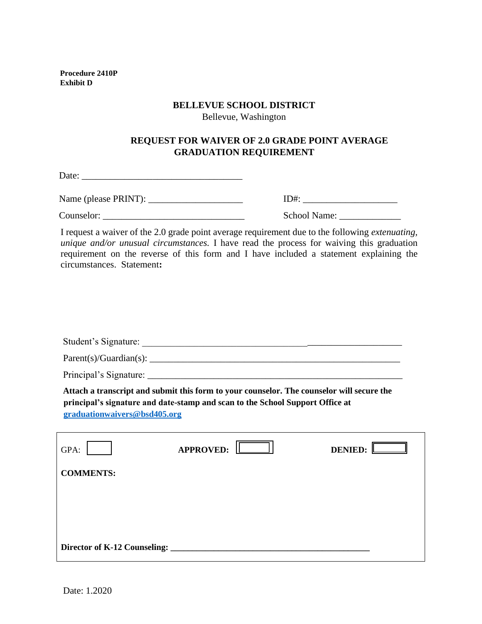**Procedure 2410P Exhibit D**

#### **BELLEVUE SCHOOL DISTRICT**

Bellevue, Washington

## **REQUEST FOR WAIVER OF 2.0 GRADE POINT AVERAGE GRADUATION REQUIREMENT**

Date: \_\_\_\_\_\_\_\_\_\_\_\_\_\_\_\_\_\_\_\_\_\_\_\_\_\_\_\_\_\_\_\_\_\_

Name (please PRINT): \_\_\_\_\_\_\_\_\_\_\_\_\_\_\_\_\_\_\_\_ ID#: \_\_\_\_\_\_\_\_\_\_\_\_\_\_\_\_\_\_\_\_

Counselor: \_\_\_\_\_\_\_\_\_\_\_\_\_\_\_\_\_\_\_\_\_\_\_\_\_\_\_\_\_\_ School Name: \_\_\_\_\_\_\_\_\_\_\_\_\_

| ID#: |  |
|------|--|
|      |  |

I request a waiver of the 2.0 grade point average requirement due to the following *extenuating, unique and/or unusual circumstances.* I have read the process for waiving this graduation requirement on the reverse of this form and I have included a statement explaining the circumstances. Statement**:**

| graduationwaivers@bsd405.org | Attach a transcript and submit this form to your counselor. The counselor will secure the<br>principal's signature and date-stamp and scan to the School Support Office at |                |
|------------------------------|----------------------------------------------------------------------------------------------------------------------------------------------------------------------------|----------------|
| GPA:                         | <b>APPROVED:</b>                                                                                                                                                           | <b>DENIED:</b> |
| <b>COMMENTS:</b>             |                                                                                                                                                                            |                |
|                              |                                                                                                                                                                            |                |
|                              |                                                                                                                                                                            |                |
|                              |                                                                                                                                                                            |                |